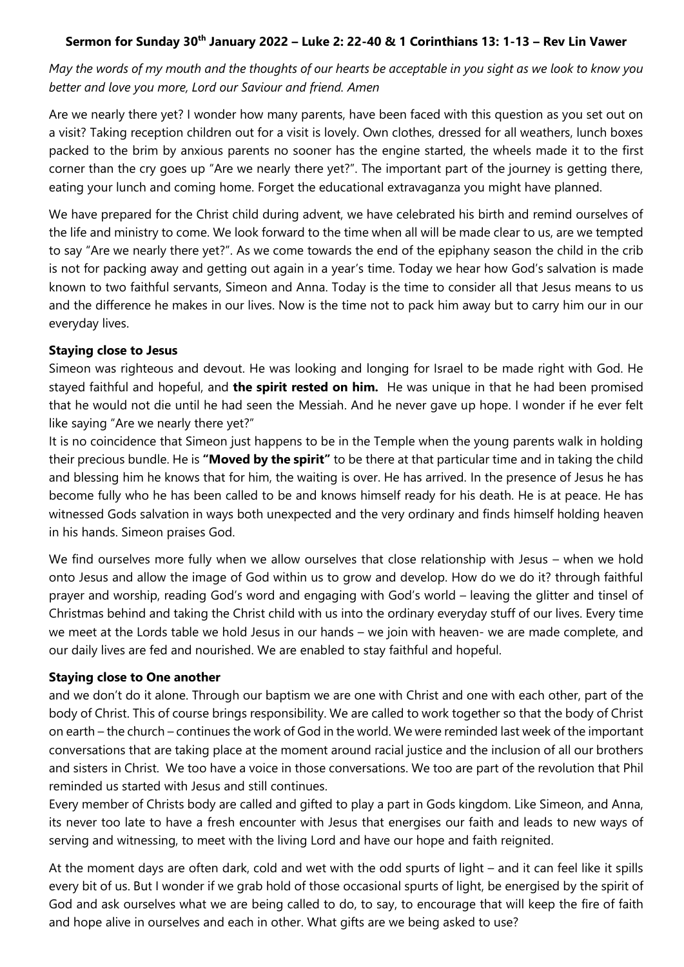## **Sermon for Sunday 30th January 2022 – Luke 2: 22-40 & 1 Corinthians 13: 1-13 – Rev Lin Vawer**

*May the words of my mouth and the thoughts of our hearts be acceptable in you sight as we look to know you better and love you more, Lord our Saviour and friend. Amen* 

Are we nearly there yet? I wonder how many parents, have been faced with this question as you set out on a visit? Taking reception children out for a visit is lovely. Own clothes, dressed for all weathers, lunch boxes packed to the brim by anxious parents no sooner has the engine started, the wheels made it to the first corner than the cry goes up "Are we nearly there yet?". The important part of the journey is getting there, eating your lunch and coming home. Forget the educational extravaganza you might have planned.

We have prepared for the Christ child during advent, we have celebrated his birth and remind ourselves of the life and ministry to come. We look forward to the time when all will be made clear to us, are we tempted to say "Are we nearly there yet?". As we come towards the end of the epiphany season the child in the crib is not for packing away and getting out again in a year's time. Today we hear how God's salvation is made known to two faithful servants, Simeon and Anna. Today is the time to consider all that Jesus means to us and the difference he makes in our lives. Now is the time not to pack him away but to carry him our in our everyday lives.

## **Staying close to Jesus**

Simeon was righteous and devout. He was looking and longing for Israel to be made right with God. He stayed faithful and hopeful, and **the spirit rested on him.** He was unique in that he had been promised that he would not die until he had seen the Messiah. And he never gave up hope. I wonder if he ever felt like saying "Are we nearly there yet?"

It is no coincidence that Simeon just happens to be in the Temple when the young parents walk in holding their precious bundle. He is **"Moved by the spirit"** to be there at that particular time and in taking the child and blessing him he knows that for him, the waiting is over. He has arrived. In the presence of Jesus he has become fully who he has been called to be and knows himself ready for his death. He is at peace. He has witnessed Gods salvation in ways both unexpected and the very ordinary and finds himself holding heaven in his hands. Simeon praises God.

We find ourselves more fully when we allow ourselves that close relationship with Jesus – when we hold onto Jesus and allow the image of God within us to grow and develop. How do we do it? through faithful prayer and worship, reading God's word and engaging with God's world – leaving the glitter and tinsel of Christmas behind and taking the Christ child with us into the ordinary everyday stuff of our lives. Every time we meet at the Lords table we hold Jesus in our hands – we join with heaven- we are made complete, and our daily lives are fed and nourished. We are enabled to stay faithful and hopeful.

## **Staying close to One another**

and we don't do it alone. Through our baptism we are one with Christ and one with each other, part of the body of Christ. This of course brings responsibility. We are called to work together so that the body of Christ on earth – the church – continues the work of God in the world. We were reminded last week of the important conversations that are taking place at the moment around racial justice and the inclusion of all our brothers and sisters in Christ. We too have a voice in those conversations. We too are part of the revolution that Phil reminded us started with Jesus and still continues.

Every member of Christs body are called and gifted to play a part in Gods kingdom. Like Simeon, and Anna, its never too late to have a fresh encounter with Jesus that energises our faith and leads to new ways of serving and witnessing, to meet with the living Lord and have our hope and faith reignited.

At the moment days are often dark, cold and wet with the odd spurts of light – and it can feel like it spills every bit of us. But I wonder if we grab hold of those occasional spurts of light, be energised by the spirit of God and ask ourselves what we are being called to do, to say, to encourage that will keep the fire of faith and hope alive in ourselves and each in other. What gifts are we being asked to use?